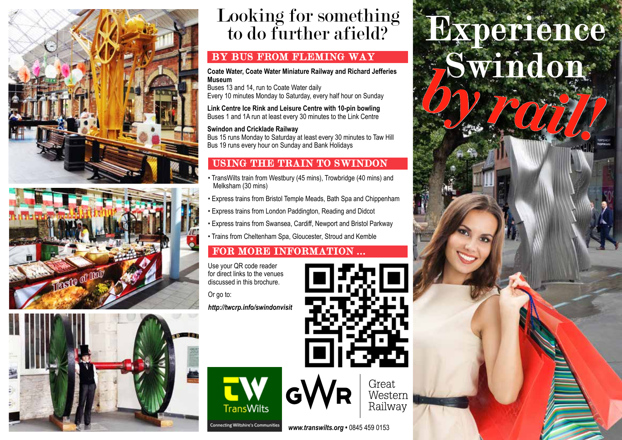



# Looking for something to do further afield?

**Coate Water, Coate Water Miniature Railway and Richard Jefferies Museum**

Buses 13 and 14, run to Coate Water daily Every 10 minutes Monday to Saturday, every half hour on Sunday

**Link Centre Ice Rink and Leisure Centre with 10-pin bowling** Buses 1 and 1A run at least every 30 minutes to the Link Centre

#### **Swindon and Cricklade Railway**

Bus 15 runs Monday to Saturday at least every 30 minutes to Taw Hill Bus 19 runs every hour on Sunday and Bank Holidays

### USING THE TRAIN TO SWINDON

- TransWilts train from Westbury (45 mins), Trowbridge (40 mins) and Melksham (30 mins)
- Express trains from Bristol Temple Meads, Bath Spa and Chippenham
- Express trains from London Paddington, Reading and Didcot
- Express trains from Swansea, Cardiff, Newport and Bristol Parkway
- Trains from Cheltenham Spa, Gloucester, Stroud and Kemble

# FOR MORE INFORMATION ...

Use your QR code reader for direct links to the venues discussed in this brochure.

Or go to: *http://twcrp.info/swindonvisit*

Experience BY BUS FROM FLEMING WAY<br>Coate Water, Coate Water Miniature Railway and Richard Jefferies<br>Museum Coate Water, Coate Water Miniature Railway and Richard Jefferies<br>
Museum<br>
Buses 13 and 14, run to Coate Water daily<br>
Every 10 minutes Monday to Saturday, every half hour on Sunday<br>
Link Centre Ice Rink and Leisure Centre w





Western Railway

Great

*www.transwilts.org •* 0845 459 0153